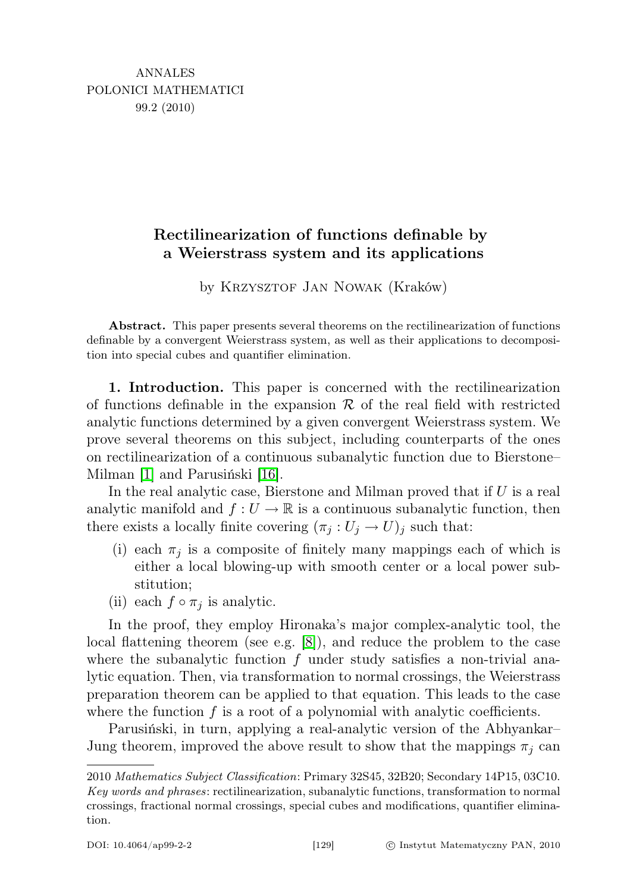## Rectilinearization of functions definable by a Weierstrass system and its applications

by KRZYSZTOF JAN NOWAK (Kraków)

Abstract. This paper presents several theorems on the rectilinearization of functions definable by a convergent Weierstrass system, as well as their applications to decomposition into special cubes and quantifier elimination.

1. Introduction. This paper is concerned with the rectilinearization of functions definable in the expansion  $\mathcal R$  of the real field with restricted analytic functions determined by a given convergent Weierstrass system. We prove several theorems on this subject, including counterparts of the ones on rectilinearization of a continuous subanalytic function due to Bierstone– Milman [\[1\]](#page-11-0) and Parusiński [\[16\]](#page-12-0).

In the real analytic case, Bierstone and Milman proved that if  $U$  is a real analytic manifold and  $f: U \to \mathbb{R}$  is a continuous subanalytic function, then there exists a locally finite covering  $(\pi_j : U_j \to U)_j$  such that:

- (i) each  $\pi_j$  is a composite of finitely many mappings each of which is either a local blowing-up with smooth center or a local power substitution;
- (ii) each  $f \circ \pi_i$  is analytic.

In the proof, they employ Hironaka's major complex-analytic tool, the local flattening theorem (see e.g.  $[8]$ ), and reduce the problem to the case where the subanalytic function  $f$  under study satisfies a non-trivial analytic equation. Then, via transformation to normal crossings, the Weierstrass preparation theorem can be applied to that equation. This leads to the case where the function  $f$  is a root of a polynomial with analytic coefficients.

Parusiński, in turn, applying a real-analytic version of the Abhyankar– Jung theorem, improved the above result to show that the mappings  $\pi_i$  can

<sup>2010</sup> Mathematics Subject Classification: Primary 32S45, 32B20; Secondary 14P15, 03C10. Key words and phrases: rectilinearization, subanalytic functions, transformation to normal crossings, fractional normal crossings, special cubes and modifications, quantifier elimination.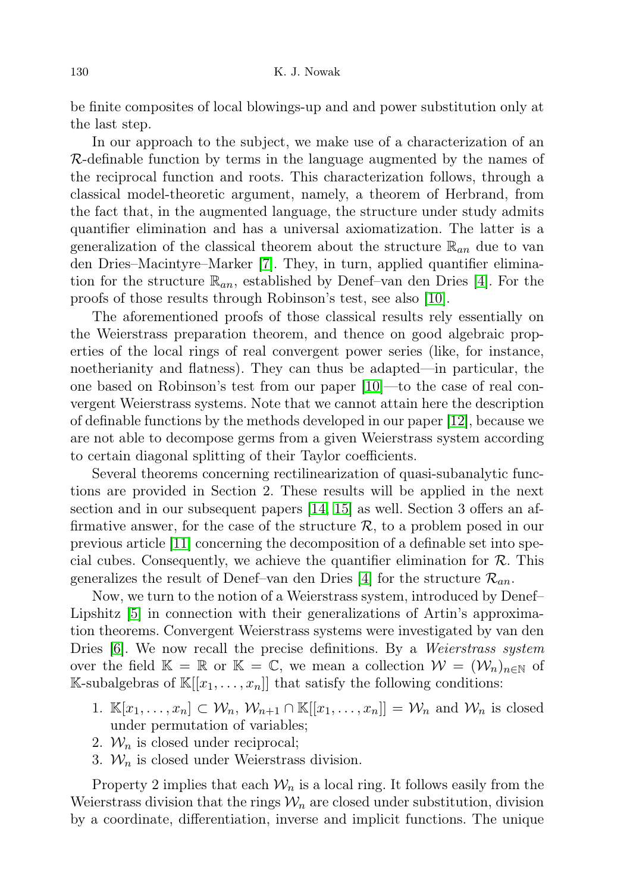be finite composites of local blowings-up and and power substitution only at the last step.

In our approach to the subject, we make use of a characterization of an  $\mathcal{R}$ -definable function by terms in the language augmented by the names of the reciprocal function and roots. This characterization follows, through a classical model-theoretic argument, namely, a theorem of Herbrand, from the fact that, in the augmented language, the structure under study admits quantifier elimination and has a universal axiomatization. The latter is a generalization of the classical theorem about the structure  $\mathbb{R}_{an}$  due to van den Dries–Macintyre–Marker [\[7\]](#page-11-2). They, in turn, applied quantifier elimination for the structure  $\mathbb{R}_{an}$ , established by Denef–van den Dries [\[4\]](#page-11-3). For the proofs of those results through Robinson's test, see also [\[10\]](#page-11-4).

The aforementioned proofs of those classical results rely essentially on the Weierstrass preparation theorem, and thence on good algebraic properties of the local rings of real convergent power series (like, for instance, noetherianity and flatness). They can thus be adapted—in particular, the one based on Robinson's test from our paper [\[10\]](#page-11-4)—to the case of real convergent Weierstrass systems. Note that we cannot attain here the description of definable functions by the methods developed in our paper [\[12\]](#page-11-5), because we are not able to decompose germs from a given Weierstrass system according to certain diagonal splitting of their Taylor coefficients.

Several theorems concerning rectilinearization of quasi-subanalytic functions are provided in Section 2. These results will be applied in the next section and in our subsequent papers [\[14,](#page-12-1) [15\]](#page-12-2) as well. Section 3 offers an affirmative answer, for the case of the structure  $\mathcal{R}$ , to a problem posed in our previous article [\[11\]](#page-11-6) concerning the decomposition of a definable set into special cubes. Consequently, we achieve the quantifier elimination for  $\mathcal{R}$ . This generalizes the result of Denef–van den Dries [\[4\]](#page-11-3) for the structure  $\mathcal{R}_{an}$ .

Now, we turn to the notion of a Weierstrass system, introduced by Denef– Lipshitz [\[5\]](#page-11-7) in connection with their generalizations of Artin's approximation theorems. Convergent Weierstrass systems were investigated by van den Dries [\[6\]](#page-11-8). We now recall the precise definitions. By a Weierstrass system over the field  $\mathbb{K} = \mathbb{R}$  or  $\mathbb{K} = \mathbb{C}$ , we mean a collection  $\mathcal{W} = (\mathcal{W}_n)_{n \in \mathbb{N}}$  of K-subalgebras of  $\mathbb{K}[[x_1,\ldots,x_n]]$  that satisfy the following conditions:

- 1.  $\mathbb{K}[x_1,\ldots,x_n] \subset \mathcal{W}_n$ ,  $\mathcal{W}_{n+1} \cap \mathbb{K}[[x_1,\ldots,x_n]] = \mathcal{W}_n$  and  $\mathcal{W}_n$  is closed under permutation of variables;
- 2.  $W_n$  is closed under reciprocal;
- 3.  $W_n$  is closed under Weierstrass division.

Property 2 implies that each  $\mathcal{W}_n$  is a local ring. It follows easily from the Weierstrass division that the rings  $\mathcal{W}_n$  are closed under substitution, division by a coordinate, differentiation, inverse and implicit functions. The unique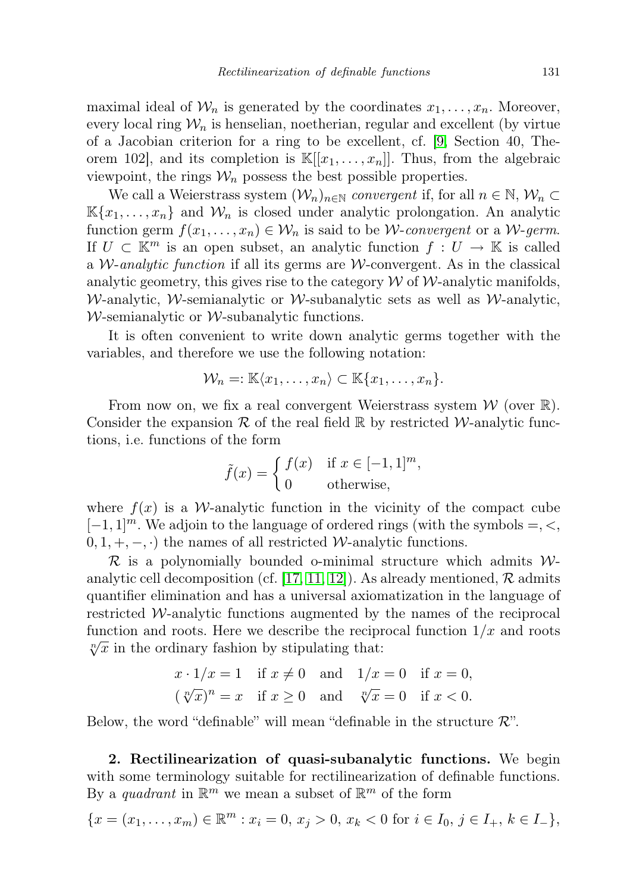maximal ideal of  $\mathcal{W}_n$  is generated by the coordinates  $x_1, \ldots, x_n$ . Moreover, every local ring  $W_n$  is henselian, noetherian, regular and excellent (by virtue of a Jacobian criterion for a ring to be excellent, cf. [\[9,](#page-11-9) Section 40, Theorem 102, and its completion is  $\mathbb{K}[[x_1, \ldots, x_n]]$ . Thus, from the algebraic viewpoint, the rings  $\mathcal{W}_n$  possess the best possible properties.

We call a Weierstrass system  $(\mathcal{W}_n)_{n\in\mathbb{N}}$  convergent if, for all  $n \in \mathbb{N}, \mathcal{W}_n \subset$  $\mathbb{K}\{x_1,\ldots,x_n\}$  and  $\mathcal{W}_n$  is closed under analytic prolongation. An analytic function germ  $f(x_1, \ldots, x_n) \in W_n$  is said to be *W-convergent* or a *W-germ*. If  $U \subset \mathbb{K}^m$  is an open subset, an analytic function  $f: U \to \mathbb{K}$  is called a *W*-analytic function if all its germs are *W*-convergent. As in the classical analytic geometry, this gives rise to the category  $W$  of  $W$ -analytic manifolds, W-analytic, W-semianalytic or W-subanalytic sets as well as W-analytic,  $W$ -semianalytic or  $W$ -subanalytic functions.

It is often convenient to write down analytic germs together with the variables, and therefore we use the following notation:

$$
\mathcal{W}_n =: \mathbb{K}\langle x_1,\ldots,x_n\rangle \subset \mathbb{K}\{x_1,\ldots,x_n\}.
$$

From now on, we fix a real convergent Weierstrass system  $\mathcal W$  (over  $\mathbb R$ ). Consider the expansion R of the real field  $\mathbb R$  by restricted W-analytic functions, i.e. functions of the form

$$
\tilde{f}(x) = \begin{cases} f(x) & \text{if } x \in [-1, 1]^m, \\ 0 & \text{otherwise,} \end{cases}
$$

where  $f(x)$  is a W-analytic function in the vicinity of the compact cube  $[-1, 1]^m$ . We adjoin to the language of ordered rings (with the symbols =, <,  $(0, 1, +, -, \cdot)$  the names of all restricted W-analytic functions.

 $\mathcal R$  is a polynomially bounded o-minimal structure which admits  $\mathcal W$ -analytic cell decomposition (cf. [\[17,](#page-12-3) [11,](#page-11-6) [12\]](#page-11-5)). As already mentioned,  $\mathcal{R}$  admits quantifier elimination and has a universal axiomatization in the language of restricted  $W$ -analytic functions augmented by the names of the reciprocal function and roots. Here we describe the reciprocal function  $1/x$  and roots  $\sqrt[n]{x}$  in the ordinary fashion by stipulating that:

$$
x \cdot 1/x = 1 \quad \text{if } x \neq 0 \quad \text{and} \quad 1/x = 0 \quad \text{if } x = 0,
$$
  

$$
(\sqrt[n]{x})^n = x \quad \text{if } x \ge 0 \quad \text{and} \quad \sqrt[n]{x} = 0 \quad \text{if } x < 0.
$$

Below, the word "definable" will mean "definable in the structure  $\mathcal{R}$ ".

2. Rectilinearization of quasi-subanalytic functions. We begin with some terminology suitable for rectilinearization of definable functions. By a *quadrant* in  $\mathbb{R}^m$  we mean a subset of  $\mathbb{R}^m$  of the form

$$
\{x = (x_1, \dots, x_m) \in \mathbb{R}^m : x_i = 0, x_j > 0, x_k < 0 \text{ for } i \in I_0, j \in I_+, k \in I_-\},\
$$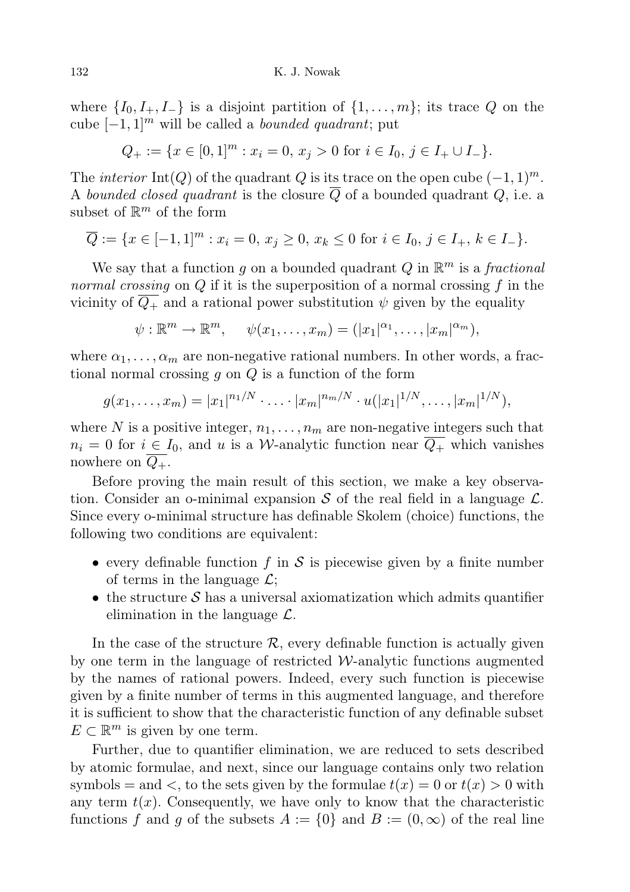where  $\{I_0, I_+, I_-\}$  is a disjoint partition of  $\{1, \ldots, m\}$ ; its trace Q on the cube  $[-1, 1]^m$  will be called a *bounded quadrant*; put

 $Q_+ := \{x \in [0,1]^m : x_i = 0, x_j > 0 \text{ for } i \in I_0, j \in I_+ \cup I_-\}.$ 

The *interior* Int(Q) of the quadrant Q is its trace on the open cube  $(-1, 1)^m$ . A bounded closed quadrant is the closure  $\overline{Q}$  of a bounded quadrant Q, i.e. a subset of  $\mathbb{R}^m$  of the form

$$
\overline{Q} := \{ x \in [-1,1]^m : x_i = 0, x_j \ge 0, x_k \le 0 \text{ for } i \in I_0, j \in I_+, k \in I_-\}.
$$

We say that a function g on a bounded quadrant Q in  $\mathbb{R}^m$  is a fractional normal crossing on  $Q$  if it is the superposition of a normal crossing  $f$  in the vicinity of  $Q_+$  and a rational power substitution  $\psi$  given by the equality

$$
\psi: \mathbb{R}^m \to \mathbb{R}^m, \quad \psi(x_1, \ldots, x_m) = (|x_1|^{\alpha_1}, \ldots, |x_m|^{\alpha_m}),
$$

where  $\alpha_1, \ldots, \alpha_m$  are non-negative rational numbers. In other words, a fractional normal crossing  $g$  on  $Q$  is a function of the form

$$
g(x_1,\ldots,x_m)=|x_1|^{n_1/N}\cdot\ldots\cdot|x_m|^{n_m/N}\cdot u(|x_1|^{1/N},\ldots,|x_m|^{1/N}),
$$

where N is a positive integer,  $n_1, \ldots, n_m$  are non-negative integers such that  $n_i = 0$  for  $i \in I_0$ , and u is a W-analytic function near  $\overline{Q_+}$  which vanishes nowhere on  $Q_{+}$ .

Before proving the main result of this section, we make a key observation. Consider an o-minimal expansion S of the real field in a language  $\mathcal{L}$ . Since every o-minimal structure has definable Skolem (choice) functions, the following two conditions are equivalent:

- every definable function f in S is piecewise given by a finite number of terms in the language  $\mathcal{L}$ ;
- the structure  $\mathcal S$  has a universal axiomatization which admits quantifier elimination in the language  $\mathcal{L}$ .

In the case of the structure  $\mathcal{R}$ , every definable function is actually given by one term in the language of restricted  $W$ -analytic functions augmented by the names of rational powers. Indeed, every such function is piecewise given by a finite number of terms in this augmented language, and therefore it is sufficient to show that the characteristic function of any definable subset  $E \subset \mathbb{R}^m$  is given by one term.

Further, due to quantifier elimination, we are reduced to sets described by atomic formulae, and next, since our language contains only two relation symbols = and <, to the sets given by the formulae  $t(x) = 0$  or  $t(x) > 0$  with any term  $t(x)$ . Consequently, we have only to know that the characteristic functions f and g of the subsets  $A := \{0\}$  and  $B := (0, \infty)$  of the real line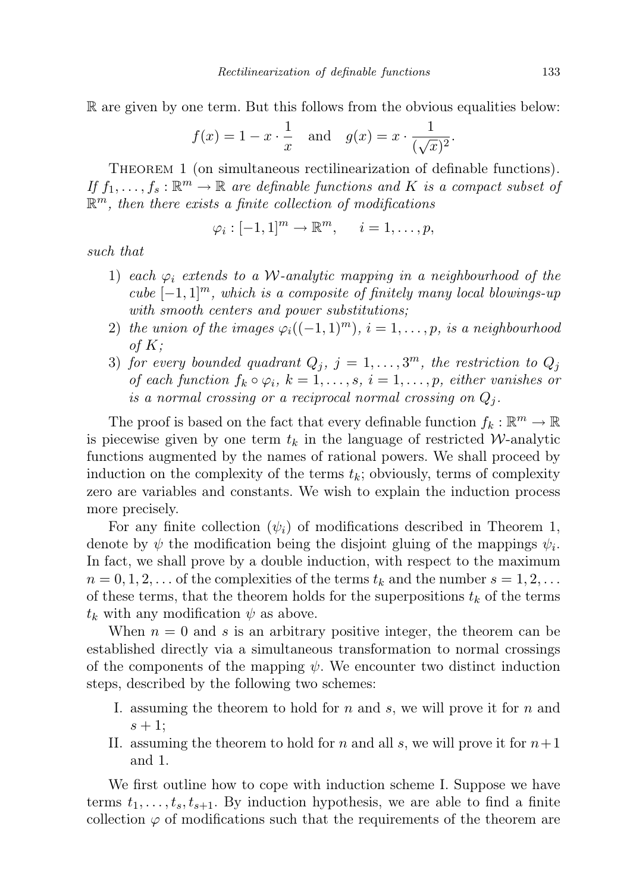R are given by one term. But this follows from the obvious equalities below:

$$
f(x) = 1 - x \cdot \frac{1}{x} \quad \text{and} \quad g(x) = x \cdot \frac{1}{(\sqrt{x})^2}.
$$

THEOREM 1 (on simultaneous rectilinearization of definable functions). If  $f_1, \ldots, f_s : \mathbb{R}^m \to \mathbb{R}$  are definable functions and K is a compact subset of  $\mathbb{R}^m$ , then there exists a finite collection of modifications

$$
\varphi_i: [-1,1]^m \to \mathbb{R}^m, \quad i=1,\ldots,p,
$$

such that

- 1) each  $\varphi_i$  extends to a W-analytic mapping in a neighbourhood of the cube  $[-1, 1]^m$ , which is a composite of finitely many local blowings-up with smooth centers and power substitutions;
- 2) the union of the images  $\varphi_i((-1,1)^m), i=1,\ldots,p$ , is a neighbourhood of  $K$ ;
- 3) for every bounded quadrant  $Q_j$ ,  $j = 1, \ldots, 3^m$ , the restriction to  $Q_j$ of each function  $f_k \circ \varphi_i$ ,  $k = 1, \ldots, s$ ,  $i = 1, \ldots, p$ , either vanishes or is a normal crossing or a reciprocal normal crossing on  $Q_i$ .

The proof is based on the fact that every definable function  $f_k : \mathbb{R}^m \to \mathbb{R}$ is piecewise given by one term  $t_k$  in the language of restricted W-analytic functions augmented by the names of rational powers. We shall proceed by induction on the complexity of the terms  $t_k$ ; obviously, terms of complexity zero are variables and constants. We wish to explain the induction process more precisely.

For any finite collection  $(\psi_i)$  of modifications described in Theorem 1, denote by  $\psi$  the modification being the disjoint gluing of the mappings  $\psi_i$ . In fact, we shall prove by a double induction, with respect to the maximum  $n = 0, 1, 2, \ldots$  of the complexities of the terms  $t_k$  and the number  $s = 1, 2, \ldots$ of these terms, that the theorem holds for the superpositions  $t_k$  of the terms  $t_k$  with any modification  $\psi$  as above.

When  $n = 0$  and s is an arbitrary positive integer, the theorem can be established directly via a simultaneous transformation to normal crossings of the components of the mapping  $\psi$ . We encounter two distinct induction steps, described by the following two schemes:

- I. assuming the theorem to hold for  $n$  and  $s$ , we will prove it for  $n$  and  $s+1;$
- II. assuming the theorem to hold for n and all s, we will prove it for  $n+1$ and 1.

We first outline how to cope with induction scheme I. Suppose we have terms  $t_1, \ldots, t_s, t_{s+1}$ . By induction hypothesis, we are able to find a finite collection  $\varphi$  of modifications such that the requirements of the theorem are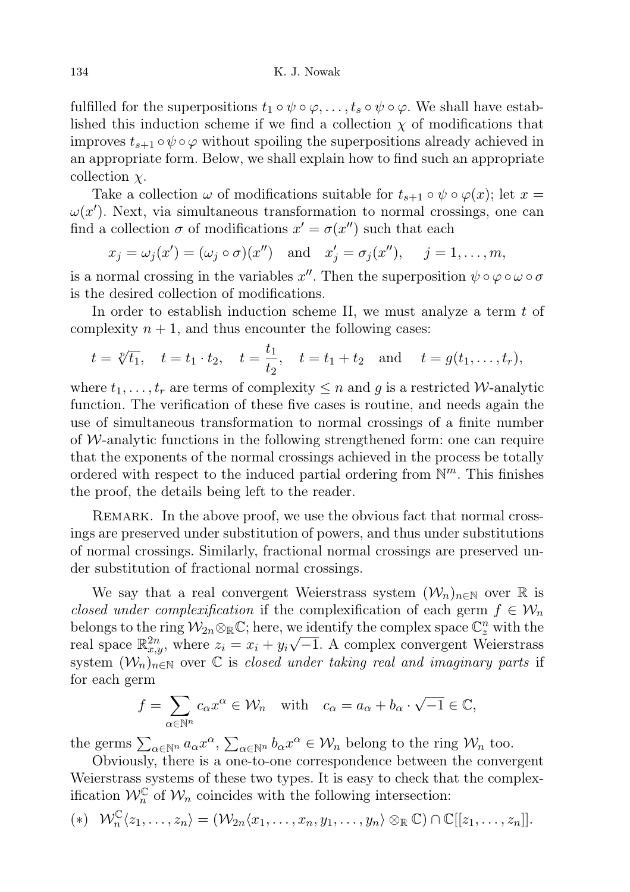fulfilled for the superpositions  $t_1 \circ \psi \circ \varphi, \ldots, t_s \circ \psi \circ \varphi$ . We shall have established this induction scheme if we find a collection  $\chi$  of modifications that improves  $t_{s+1} \circ \psi \circ \varphi$  without spoiling the superpositions already achieved in an appropriate form. Below, we shall explain how to find such an appropriate collection  $\chi$ .

Take a collection  $\omega$  of modifications suitable for  $t_{s+1} \circ \psi \circ \varphi(x)$ ; let  $x =$  $\omega(x')$ . Next, via simultaneous transformation to normal crossings, one can find a collection  $\sigma$  of modifications  $x' = \sigma(x'')$  such that each

$$
x_j = \omega_j(x') = (\omega_j \circ \sigma)(x'')
$$
 and  $x'_j = \sigma_j(x'')$ ,  $j = 1, ..., m$ ,

is a normal crossing in the variables  $x''$ . Then the superposition  $\psi \circ \varphi \circ \omega \circ \sigma$ is the desired collection of modifications.

In order to establish induction scheme II, we must analyze a term  $t$  of complexity  $n + 1$ , and thus encounter the following cases:

$$
t = \sqrt[p]{t_1}
$$
,  $t = t_1 \cdot t_2$ ,  $t = \frac{t_1}{t_2}$ ,  $t = t_1 + t_2$  and  $t = g(t_1, ..., t_r)$ ,

where  $t_1, \ldots, t_r$  are terms of complexity  $\leq n$  and g is a restricted W-analytic function. The verification of these five cases is routine, and needs again the use of simultaneous transformation to normal crossings of a finite number of W-analytic functions in the following strengthened form: one can require that the exponents of the normal crossings achieved in the process be totally ordered with respect to the induced partial ordering from  $\mathbb{N}^m$ . This finishes the proof, the details being left to the reader.

REMARK. In the above proof, we use the obvious fact that normal crossings are preserved under substitution of powers, and thus under substitutions of normal crossings. Similarly, fractional normal crossings are preserved under substitution of fractional normal crossings.

We say that a real convergent Weierstrass system  $(\mathcal{W}_n)_{n\in\mathbb{N}}$  over R is closed under complexification if the complexification of each germ  $f \in \mathcal{W}_n$ belongs to the ring  $\mathcal{W}_{2n} \otimes_{\mathbb{R}} \mathbb{C}$ ; here, we identify the complex space  $\mathbb{C}_z^n$  with the real space  $\mathbb{R}^{2n}_{x,y}$ , where  $z_i = x_i + y_i \sqrt{-1}$ . A complex convergent Weierstrass system  $(\mathcal{W}_n)_{n\in\mathbb{N}}$  over  $\mathbb C$  is closed under taking real and imaginary parts if for each germ

$$
f = \sum_{\alpha \in \mathbb{N}^n} c_{\alpha} x^{\alpha} \in \mathcal{W}_n \quad \text{with} \quad c_{\alpha} = a_{\alpha} + b_{\alpha} \cdot \sqrt{-1} \in \mathbb{C},
$$

the germs  $\sum_{\alpha \in \mathbb{N}^n} a_{\alpha} x^{\alpha}, \sum_{\alpha \in \mathbb{N}^n} b_{\alpha} x^{\alpha} \in \mathcal{W}_n$  belong to the ring  $\mathcal{W}_n$  too.

Obviously, there is a one-to-one correspondence between the convergent Weierstrass systems of these two types. It is easy to check that the complexification  $\mathcal{W}_n^{\mathbb{C}}$  of  $\mathcal{W}_n$  coincides with the following intersection:

$$
(*) \quad \mathcal{W}_n^{\mathbb{C}} \langle z_1, \ldots, z_n \rangle = (\mathcal{W}_{2n} \langle x_1, \ldots, x_n, y_1, \ldots, y_n \rangle \otimes_{\mathbb{R}} \mathbb{C}) \cap \mathbb{C}[[z_1, \ldots, z_n]].
$$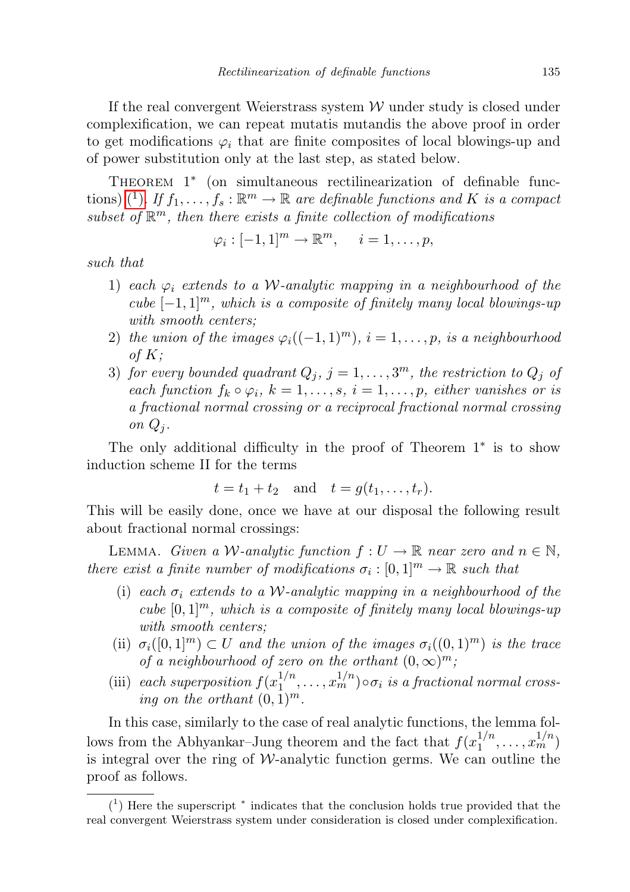If the real convergent Weierstrass system  $W$  under study is closed under complexification, we can repeat mutatis mutandis the above proof in order to get modifications  $\varphi_i$  that are finite composites of local blowings-up and of power substitution only at the last step, as stated below.

THEOREM 1<sup>\*</sup> (on simultaneous rectilinearization of definable func-tions) (<sup>1</sup>[\).](#page-6-0) If  $f_1, \ldots, f_s : \mathbb{R}^m \to \mathbb{R}$  are definable functions and K is a compact subset of  $\mathbb{R}^m$ , then there exists a finite collection of modifications

$$
\varphi_i : [-1,1]^m \to \mathbb{R}^m, \quad i = 1, \dots, p,
$$

such that

- 1) each  $\varphi_i$  extends to a W-analytic mapping in a neighbourhood of the cube  $[-1, 1]^m$ , which is a composite of finitely many local blowings-up with smooth centers;
- 2) the union of the images  $\varphi_i((-1,1)^m), i=1,\ldots,p$ , is a neighbourhood of  $K$ ;
- 3) for every bounded quadrant  $Q_j$ ,  $j = 1, ..., 3^m$ , the restriction to  $Q_j$  of each function  $f_k \circ \varphi_i$ ,  $k = 1, \ldots, s$ ,  $i = 1, \ldots, p$ , either vanishes or is a fractional normal crossing or a reciprocal fractional normal crossing on  $Q_i$ .

The only additional difficulty in the proof of Theorem  $1^*$  is to show induction scheme II for the terms

$$
t = t_1 + t_2 \quad \text{and} \quad t = g(t_1, \dots, t_r).
$$

This will be easily done, once we have at our disposal the following result about fractional normal crossings:

LEMMA. Given a W-analytic function  $f: U \to \mathbb{R}$  near zero and  $n \in \mathbb{N}$ , there exist a finite number of modifications  $\sigma_i : [0,1]^m \to \mathbb{R}$  such that

- (i) each  $\sigma_i$  extends to a W-analytic mapping in a neighbourhood of the cube  $[0,1]^m$ , which is a composite of finitely many local blowings-up with smooth centers;
- (ii)  $\sigma_i([0,1]^m) \subset U$  and the union of the images  $\sigma_i((0,1)^m)$  is the trace of a neighbourhood of zero on the orthant  $(0, \infty)^m$ ;
- (iii) each superposition  $f(x_1^{1/n})$  $\binom{1/n}{1}, \ldots, \binom{n/n}{m}$  $\circ \sigma_i$  is a fractional normal crossing on the orthant  $(0, 1)^m$ .

In this case, similarly to the case of real analytic functions, the lemma follows from the Abhyankar–Jung theorem and the fact that  $f(x_1^{1/n})$  $x_1^{1/n}, \ldots, x_m^{1/n}$ is integral over the ring of  $W$ -analytic function germs. We can outline the proof as follows.

<span id="page-6-0"></span><sup>(</sup> 1 ) Here the superscript <sup>∗</sup> indicates that the conclusion holds true provided that the real convergent Weierstrass system under consideration is closed under complexification.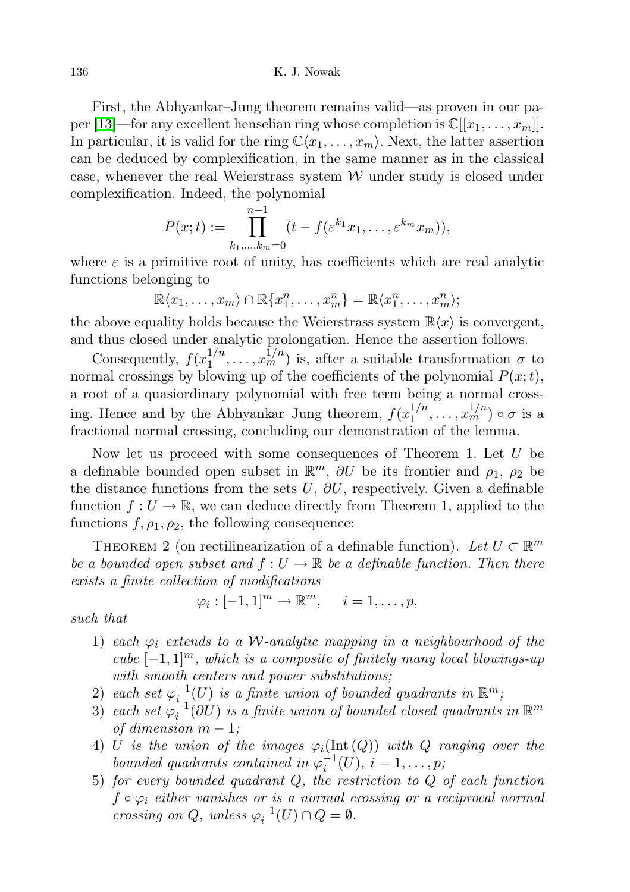First, the Abhyankar–Jung theorem remains valid—as proven in our pa-per [\[13\]](#page-12-4)—for any excellent henselian ring whose completion is  $\mathbb{C}[[x_1, \ldots, x_m]]$ . In particular, it is valid for the ring  $\mathbb{C}\langle x_1, \ldots, x_m\rangle$ . Next, the latter assertion can be deduced by complexification, in the same manner as in the classical case, whenever the real Weierstrass system  $W$  under study is closed under complexification. Indeed, the polynomial

$$
P(x;t) := \prod_{k_1,\dots,k_m=0}^{n-1} (t - f(\varepsilon^{k_1} x_1, \dots, \varepsilon^{k_m} x_m)),
$$

where  $\varepsilon$  is a primitive root of unity, has coefficients which are real analytic functions belonging to

$$
\mathbb{R}\langle x_1,\ldots,x_m\rangle\cap\mathbb{R}\lbrace x_1^n,\ldots,x_m^n\rbrace=\mathbb{R}\langle x_1^n,\ldots,x_m^n\rangle;
$$

the above equality holds because the Weierstrass system  $\mathbb{R}\langle x \rangle$  is convergent, and thus closed under analytic prolongation. Hence the assertion follows.

Consequently,  $f(x_1^{1/n})$  $\frac{1}{n}, \ldots, x_m^{1/n}$  is, after a suitable transformation  $\sigma$  to normal crossings by blowing up of the coefficients of the polynomial  $P(x;t)$ , a root of a quasiordinary polynomial with free term being a normal crossing. Hence and by the Abhyankar–Jung theorem,  $f(x_1^{1/n})$  $x_1^{1/n}, \ldots, x_m^{1/n}$ )  $\circ \sigma$  is a fractional normal crossing, concluding our demonstration of the lemma.

Now let us proceed with some consequences of Theorem 1. Let U be a definable bounded open subset in  $\mathbb{R}^m$ ,  $\partial U$  be its frontier and  $\rho_1$ ,  $\rho_2$  be the distance functions from the sets U,  $\partial U$ , respectively. Given a definable function  $f: U \to \mathbb{R}$ , we can deduce directly from Theorem 1, applied to the functions  $f, \rho_1, \rho_2$ , the following consequence:

THEOREM 2 (on rectilinearization of a definable function). Let  $U \subset \mathbb{R}^m$ be a bounded open subset and  $f: U \to \mathbb{R}$  be a definable function. Then there exists a finite collection of modifications

$$
\varphi_i : [-1,1]^m \to \mathbb{R}^m, \quad i = 1, \dots, p,
$$

such that

- 1) each  $\varphi_i$  extends to a W-analytic mapping in a neighbourhood of the cube  $[-1, 1]^m$ , which is a composite of finitely many local blowings-up with smooth centers and power substitutions;
- 2) each set  $\varphi_i^{-1}(U)$  is a finite union of bounded quadrants in  $\mathbb{R}^m$ ,
- 3) each set  $\varphi_i^{-1}(\partial U)$  is a finite union of bounded closed quadrants in  $\mathbb{R}^m$ of dimension  $m-1$ ;
- 4) U is the union of the images  $\varphi_i(\text{Int}(Q))$  with Q ranging over the bounded quadrants contained in  $\varphi_i^{-1}(U), i = 1, \ldots, p;$
- 5) for every bounded quadrant  $Q$ , the restriction to  $Q$  of each function  $f \circ \varphi_i$  either vanishes or is a normal crossing or a reciprocal normal crossing on Q, unless  $\varphi_i^{-1}(U) \cap Q = \emptyset$ .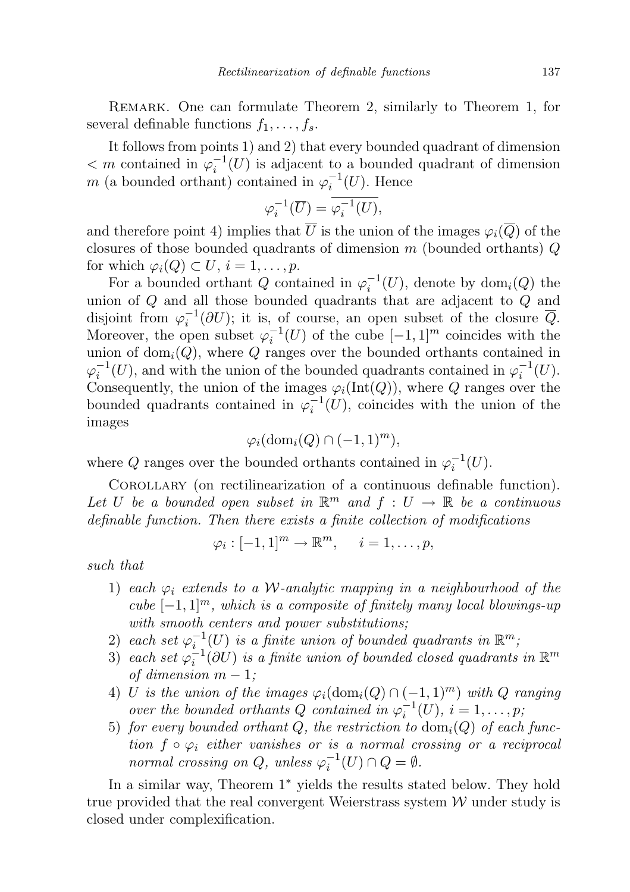REMARK. One can formulate Theorem 2, similarly to Theorem 1, for several definable functions  $f_1, \ldots, f_s$ .

It follows from points 1) and 2) that every bounded quadrant of dimension  $\langle m \rangle \sim m$  contained in  $\varphi_i^{-1}(U)$  is adjacent to a bounded quadrant of dimension m (a bounded orthant) contained in  $\varphi_i^{-1}(U)$ . Hence

$$
\varphi_i^{-1}(\overline{U}) = \overline{\varphi_i^{-1}(U)},
$$

and therefore point 4) implies that  $\overline{U}$  is the union of the images  $\varphi_i(\overline{Q})$  of the closures of those bounded quadrants of dimension  $m$  (bounded orthants)  $Q$ for which  $\varphi_i(Q) \subset U, i = 1, \ldots, p$ .

For a bounded orthant Q contained in  $\varphi_i^{-1}(U)$ , denote by  $\text{dom}_i(Q)$  the union of Q and all those bounded quadrants that are adjacent to Q and disjoint from  $\varphi_i^{-1}(\partial U)$ ; it is, of course, an open subset of the closure  $\overline{Q}$ . Moreover, the open subset  $\varphi_i^{-1}(U)$  of the cube  $[-1, 1]^m$  coincides with the union of  $dom_i(Q)$ , where Q ranges over the bounded orthants contained in  $\varphi_i^{-1}(U)$ , and with the union of the bounded quadrants contained in  $\varphi_i^{-1}(U)$ . Consequently, the union of the images  $\varphi_i(\text{Int}(Q))$ , where Q ranges over the bounded quadrants contained in  $\varphi_i^{-1}(U)$ , coincides with the union of the images

$$
\varphi_i(\mathrm{dom}_i(Q) \cap (-1,1)^m),
$$

where Q ranges over the bounded orthants contained in  $\varphi_i^{-1}(U)$ .

COROLLARY (on rectilinearization of a continuous definable function). Let U be a bounded open subset in  $\mathbb{R}^m$  and  $f: U \to \mathbb{R}$  be a continuous definable function. Then there exists a finite collection of modifications

$$
\varphi_i: [-1,1]^m \to \mathbb{R}^m, \quad i=1,\ldots,p,
$$

such that

- 1) each  $\varphi_i$  extends to a W-analytic mapping in a neighbourhood of the cube  $[-1, 1]^m$ , which is a composite of finitely many local blowings-up with smooth centers and power substitutions;
- 2) each set  $\varphi_i^{-1}(U)$  is a finite union of bounded quadrants in  $\mathbb{R}^m$ ,
- 3) each set  $\varphi_i^{-1}(\partial U)$  is a finite union of bounded closed quadrants in  $\mathbb{R}^m$ of dimension  $m-1$ ;
- 4) U is the union of the images  $\varphi_i(\text{dom}_i(Q) \cap (-1,1)^m)$  with Q ranging over the bounded orthants Q contained in  $\varphi_i^{-1}(U)$ ,  $i=1,\ldots,p$ ,
- 5) for every bounded orthant Q, the restriction to  $\text{dom}_i(Q)$  of each function  $f \circ \varphi_i$  either vanishes or is a normal crossing or a reciprocal normal crossing on Q, unless  $\varphi_i^{-1}(U) \cap Q = \emptyset$ .

In a similar way, Theorem  $1^*$  yields the results stated below. They hold true provided that the real convergent Weierstrass system  $W$  under study is closed under complexification.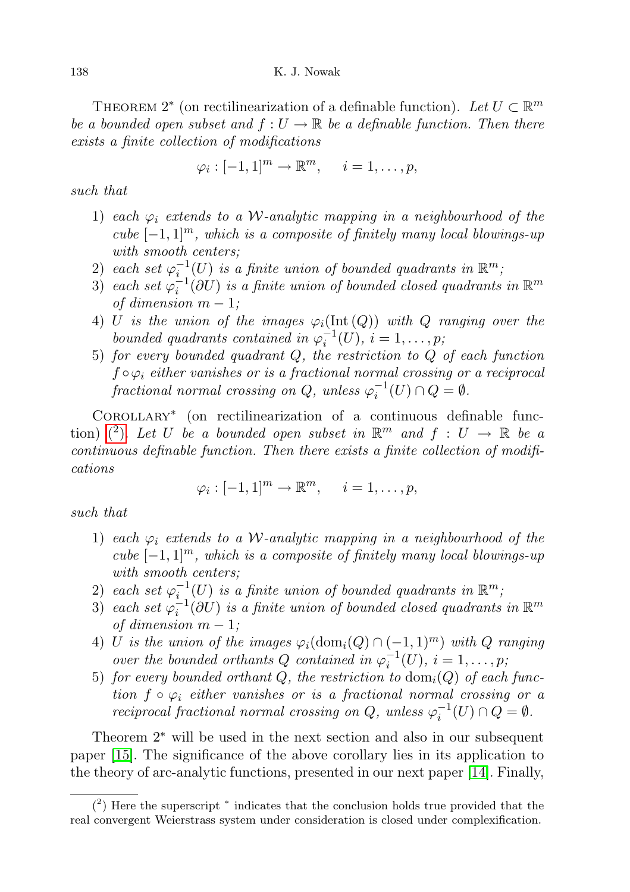THEOREM 2<sup>\*</sup> (on rectilinearization of a definable function). Let  $U \subset \mathbb{R}^m$ be a bounded open subset and  $f: U \to \mathbb{R}$  be a definable function. Then there exists a finite collection of modifications

$$
\varphi_i: [-1,1]^m \to \mathbb{R}^m, \quad i=1,\ldots,p,
$$

such that

- 1) each  $\varphi_i$  extends to a W-analytic mapping in a neighbourhood of the cube  $[-1, 1]^m$ , which is a composite of finitely many local blowings-up with smooth centers;
- 2) each set  $\varphi_{i}^{-1}(U)$  is a finite union of bounded quadrants in  $\mathbb{R}^m$ ,
- 3) each set  $\varphi_i^{-1}(\partial U)$  is a finite union of bounded closed quadrants in  $\mathbb{R}^m$ of dimension  $m-1$ ;
- 4) U is the union of the images  $\varphi_i(\text{Int}(Q))$  with Q ranging over the bounded quadrants contained in  $\varphi_i^{-1}(U), i = 1, \ldots, p$ ,
- 5) for every bounded quadrant  $Q$ , the restriction to  $Q$  of each function  $f \circ \varphi_i$  either vanishes or is a fractional normal crossing or a reciprocal fractional normal crossing on  $Q$ , unless  $\varphi_i^{-1}(U) \cap Q = \emptyset$ .

COROLLARY<sup>\*</sup> (on rectilinearization of a continuous definable func-tion) [\(](#page-9-0)2). Let U be a bounded open subset in  $\mathbb{R}^m$  and  $f: U \to \mathbb{R}$  be a continuous definable function. Then there exists a finite collection of modifications

$$
\varphi_i: [-1,1]^m \to \mathbb{R}^m, \quad i=1,\ldots,p,
$$

such that

- 1) each  $\varphi_i$  extends to a W-analytic mapping in a neighbourhood of the cube  $[-1, 1]^m$ , which is a composite of finitely many local blowings-up with smooth centers;
- 2) each set  $\varphi_i^{-1}(U)$  is a finite union of bounded quadrants in  $\mathbb{R}^m$ ,
- 3) each set  $\varphi_i^{-1}(\partial U)$  is a finite union of bounded closed quadrants in  $\mathbb{R}^m$ of dimension  $m-1$ ;
- 4) U is the union of the images  $\varphi_i(\text{dom}_i(Q) \cap (-1,1)^m)$  with Q ranging over the bounded orthants Q contained in  $\varphi_i^{-1}(U)$ ,  $i = 1, \ldots, p$ ;
- 5) for every bounded orthant Q, the restriction to  $\text{dom}_i(Q)$  of each function  $f \circ \varphi_i$  either vanishes or is a fractional normal crossing or a reciprocal fractional normal crossing on Q, unless  $\varphi_i^{-1}(U) \cap Q = \emptyset$ .

Theorem  $2^*$  will be used in the next section and also in our subsequent paper [\[15\]](#page-12-2). The significance of the above corollary lies in its application to the theory of arc-analytic functions, presented in our next paper [\[14\]](#page-12-1). Finally,

<span id="page-9-0"></span><sup>(</sup> 2 ) Here the superscript <sup>∗</sup> indicates that the conclusion holds true provided that the real convergent Weierstrass system under consideration is closed under complexification.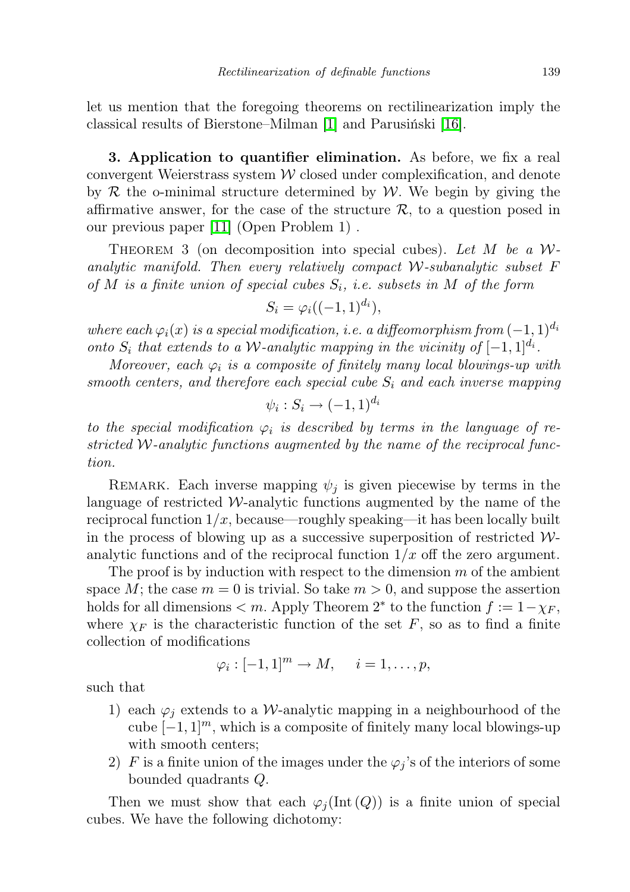let us mention that the foregoing theorems on rectilinearization imply the classical results of Bierstone–Milman [\[1\]](#page-11-0) and Parusiński [\[16\]](#page-12-0).

3. Application to quantifier elimination. As before, we fix a real convergent Weierstrass system  $W$  closed under complexification, and denote by  $R$  the o-minimal structure determined by  $W$ . We begin by giving the affirmative answer, for the case of the structure  $\mathcal{R}$ , to a question posed in our previous paper [\[11\]](#page-11-6) (Open Problem 1) .

THEOREM 3 (on decomposition into special cubes). Let M be a  $W$ analytic manifold. Then every relatively compact  $W$ -subanalytic subset  $F$ of M is a finite union of special cubes  $S_i$ , i.e. subsets in M of the form

$$
S_i = \varphi_i((-1,1)^{d_i}),
$$

where each  $\varphi_i(x)$  is a special modification, i.e. a diffeomorphism from  $(-1, 1)^{d_i}$ onto  $S_i$  that extends to a W-analytic mapping in the vicinity of  $[-1,1]^{d_i}$ .

Moreover, each  $\varphi_i$  is a composite of finitely many local blowings-up with smooth centers, and therefore each special cube  $S_i$  and each inverse mapping

$$
\psi_i: S_i \to (-1,1)^{d_i}
$$

to the special modification  $\varphi_i$  is described by terms in the language of restricted W-analytic functions augmented by the name of the reciprocal function.

REMARK. Each inverse mapping  $\psi_i$  is given piecewise by terms in the language of restricted  $\mathcal{W}$ -analytic functions augmented by the name of the reciprocal function  $1/x$ , because—roughly speaking—it has been locally built in the process of blowing up as a successive superposition of restricted  $W$ analytic functions and of the reciprocal function  $1/x$  off the zero argument.

The proof is by induction with respect to the dimension  $m$  of the ambient space M; the case  $m = 0$  is trivial. So take  $m > 0$ , and suppose the assertion holds for all dimensions  $\lt m$ . Apply Theorem 2<sup>\*</sup> to the function  $f := 1 - \chi_F$ , where  $\chi_F$  is the characteristic function of the set F, so as to find a finite collection of modifications

$$
\varphi_i : [-1,1]^m \to M, \quad i = 1, \ldots, p,
$$

such that

- 1) each  $\varphi_i$  extends to a *W*-analytic mapping in a neighbourhood of the cube  $[-1, 1]^m$ , which is a composite of finitely many local blowings-up with smooth centers;
- 2) F is a finite union of the images under the  $\varphi_i$ 's of the interiors of some bounded quadrants Q.

Then we must show that each  $\varphi_i(\text{Int}(Q))$  is a finite union of special cubes. We have the following dichotomy: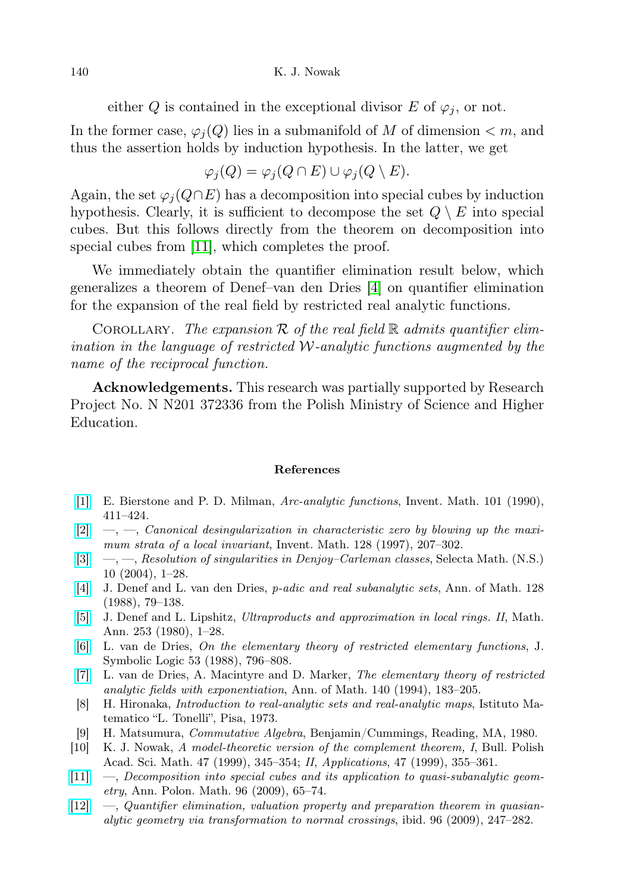either Q is contained in the exceptional divisor E of  $\varphi_i$ , or not.

In the former case,  $\varphi_i(Q)$  lies in a submanifold of M of dimension  $\lt m$ , and thus the assertion holds by induction hypothesis. In the latter, we get

$$
\varphi_j(Q) = \varphi_j(Q \cap E) \cup \varphi_j(Q \setminus E).
$$

Again, the set  $\varphi_i(Q \cap E)$  has a decomposition into special cubes by induction hypothesis. Clearly, it is sufficient to decompose the set  $Q \setminus E$  into special cubes. But this follows directly from the theorem on decomposition into special cubes from [\[11\]](#page-11-6), which completes the proof.

We immediately obtain the quantifier elimination result below, which generalizes a theorem of Denef–van den Dries [\[4\]](#page-11-3) on quantifier elimination for the expansion of the real field by restricted real analytic functions.

COROLLARY. The expansion R of the real field  $\mathbb R$  admits quantifier elimination in the language of restricted  $W$ -analytic functions augmented by the name of the reciprocal function.

Acknowledgements. This research was partially supported by Research Project No. N N201 372336 from the Polish Ministry of Science and Higher Education.

## References

- <span id="page-11-0"></span>[\[1\]](http://dx.doi.org/10.1007/BF01231509) E. Bierstone and P. D. Milman, Arc-analytic functions, Invent. Math. 101 (1990), 411–424.
- $[2] \quad [2] \quad -$ , Canonical desingularization in characteristic zero by blowing up the maximum strata of a local invariant, Invent. Math. 128 (1997), 207–302.
- [\[3\]](http://dx.doi.org/10.1007/s00029-004-0327-0)  $\quad$ , *—*, *—*, *Resolution of singularities in Denjoy–Carleman classes*, Selecta Math. (N.S.) 10 (2004), 1–28.
- <span id="page-11-3"></span>[\[4\]](http://dx.doi.org/10.2307/1971463) J. Denef and L. van den Dries, p-adic and real subanalytic sets, Ann. of Math. 128 (1988), 79–138.
- <span id="page-11-7"></span>[\[5\]](http://dx.doi.org/10.1007/BF01457817) J. Denef and L. Lipshitz, Ultraproducts and approximation in local rings. II, Math. Ann. 253 (1980), 1–28.
- <span id="page-11-8"></span>[\[6\]](http://dx.doi.org/10.2307/2274572) L. van de Dries, On the elementary theory of restricted elementary functions, J. Symbolic Logic 53 (1988), 796–808.
- <span id="page-11-2"></span>[\[7\]](http://dx.doi.org/10.2307/2118545) L. van de Dries, A. Macintyre and D. Marker, The elementary theory of restricted analytic fields with exponentiation, Ann. of Math. 140 (1994), 183–205.
- <span id="page-11-1"></span>[8] H. Hironaka, Introduction to real-analytic sets and real-analytic maps, Istituto Matematico "L. Tonelli", Pisa, 1973.
- <span id="page-11-9"></span>[9] H. Matsumura, Commutative Algebra, Benjamin/Cummings, Reading, MA, 1980.
- <span id="page-11-4"></span>[10] K. J. Nowak, A model-theoretic version of the complement theorem, I, Bull. Polish Acad. Sci. Math. 47 (1999), 345–354; II, Applications, 47 (1999), 355–361.
- <span id="page-11-6"></span>[\[11\]](http://dx.doi.org/10.4064/ap96-1-6) —, Decomposition into special cubes and its application to quasi-subanalytic geometry, Ann. Polon. Math. 96 (2009), 65–74.
- <span id="page-11-5"></span>[\[12\]](http://dx.doi.org/10.4064/ap96-3-5) —, Quantifier elimination, valuation property and preparation theorem in quasianalytic geometry via transformation to normal crossings, ibid. 96 (2009), 247–282.